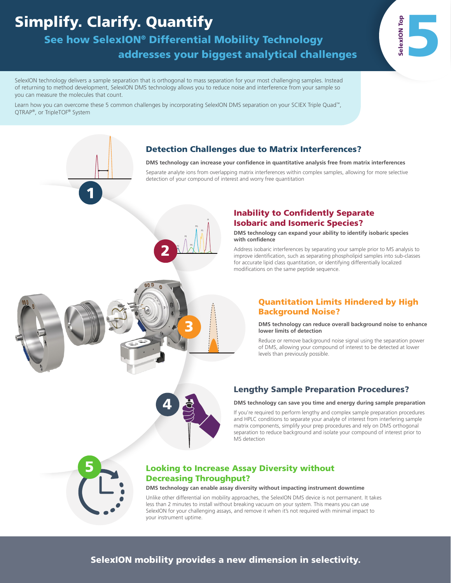# Simplify. Clarify. Quantify

1

See how SelexION® Differential Mobility Technology

addresses your biggest analytical challenges

SelexION technology delivers a sample separation that is orthogonal to mass separation for your most challenging samples. Instead of returning to method development, SelexION DMS technology allows you to reduce noise and interference from your sample so you can measure the molecules that count.

Learn how you can overcome these 5 common challenges by incorporating SelexION DMS separation on your SCIEX Triple Quad™, QTRAP®, or TripleTOF® System

> PC PE PA

2

PG PS PI

### Detection Challenges due to Matrix Interferences?

**DMS technology can increase your confidence in quantitative analysis free from matrix interferences**

Separate analyte ions from overlapping matrix interferences within complex samples, allowing for more selective detection of your compound of interest and worry free quantitation

### Inability to Confidently Separate Isobaric and Isomeric Species?

**DMS technology can expand your ability to identify isobaric species with confidence**

Address isobaric interferences by separating your sample prior to MS analysis to improve identification, such as separating phospholipid samples into sub-classes for accurate lipid class quantitation, or identifying differentially localized modifications on the same peptide sequence.

### Quantitation Limits Hindered by High Background Noise?

SelexION Top 5

**DMS technology can reduce overall background noise to enhance lower limits of detection**

Reduce or remove background noise signal using the separation power of DMS, allowing your compound of interest to be detected at lower levels than previously possible.



### Lengthy Sample Preparation Procedures?

### **DMS technology can save you time and energy during sample preparation**

If you're required to perform lengthy and complex sample preparation procedures and HPLC conditions to separate your analyte of interest from interfering sample matrix components, simplify your prep procedures and rely on DMS orthogonal separation to reduce background and isolate your compound of interest prior to MS detection



### Looking to Increase Assay Diversity without Decreasing Throughput?

**DMS technology can enable assay diversity without impacting instrument downtime** 

Unlike other differential ion mobility approaches, the SelexION DMS device is not permanent. It takes less than 2 minutes to install without breaking vacuum on your system. This means you can use SelexION for your challenging assays, and remove it when it's not required with minimal impact to your instrument uptime.

# 3

### SelexION mobility provides a new dimension in selectivity.